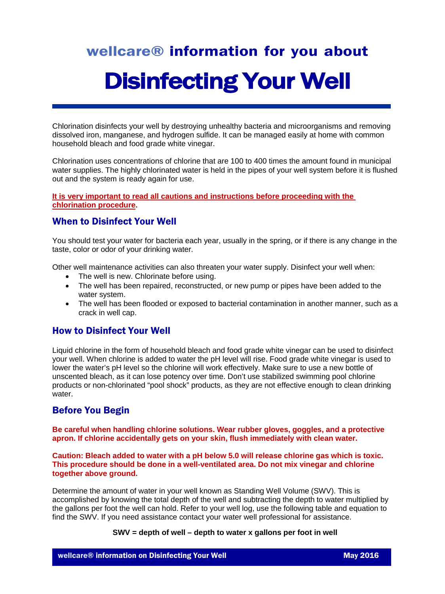# wellcare® information for you about Disinfecting Your Well

Chlorination disinfects your well by destroying unhealthy bacteria and microorganisms and removing dissolved iron, manganese, and hydrogen sulfide. It can be managed easily at home with common household bleach and food grade white vinegar.

Chlorination uses concentrations of chlorine that are 100 to 400 times the amount found in municipal water supplies. The highly chlorinated water is held in the pipes of your well system before it is flushed out and the system is ready again for use.

**It is very important to read all cautions and instructions before proceeding with the chlorination procedure.**

# When to Disinfect Your Well

You should test your water for bacteria each year, usually in the spring, or if there is any change in the taste, color or odor of your drinking water.

Other well maintenance activities can also threaten your water supply. Disinfect your well when:

- The well is new. Chlorinate before using.
- The well has been repaired, reconstructed, or new pump or pipes have been added to the water system.
- The well has been flooded or exposed to bacterial contamination in another manner, such as a crack in well cap.

## How to Disinfect Your Well

Liquid chlorine in the form of household bleach and food grade white vinegar can be used to disinfect your well. When chlorine is added to water the pH level will rise. Food grade white vinegar is used to lower the water's pH level so the chlorine will work effectively. Make sure to use a new bottle of unscented bleach, as it can lose potency over time. Don't use stabilized swimming pool chlorine products or non-chlorinated "pool shock" products, as they are not effective enough to clean drinking water.

# Before You Begin

**Be careful when handling chlorine solutions. Wear rubber gloves, goggles, and a protective apron. If chlorine accidentally gets on your skin, flush immediately with clean water.**

**Caution: Bleach added to water with a pH below 5.0 will release chlorine gas which is toxic. This procedure should be done in a well-ventilated area. Do not mix vinegar and chlorine together above ground.** 

Determine the amount of water in your well known as Standing Well Volume (SWV). This is accomplished by knowing the total depth of the well and subtracting the depth to water multiplied by the gallons per foot the well can hold. Refer to your well log, use the following table and equation to find the SWV. If you need assistance contact your water well professional for assistance.

#### **SWV = depth of well – depth to water x gallons per foot in well**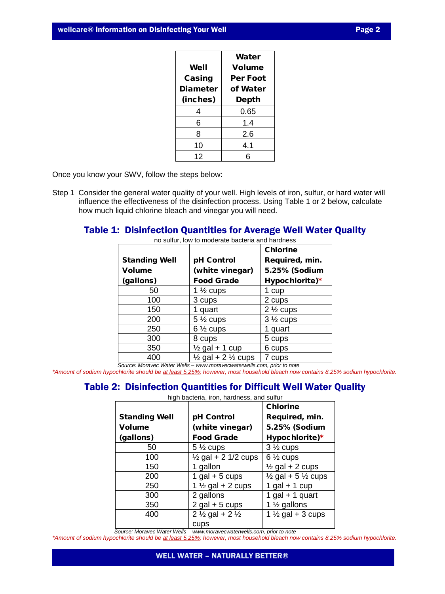|                 | Water           |  |
|-----------------|-----------------|--|
| Well            | Volume          |  |
| Casing          | <b>Per Foot</b> |  |
| <b>Diameter</b> | of Water        |  |
| (inches)        | Depth           |  |
| 4               | 0.65            |  |
| 6               | 1.4             |  |
| 8               | 2.6             |  |
| 10              | 4.1             |  |
| 12              |                 |  |

Once you know your SWV, follow the steps below:

Step 1 Consider the general water quality of your well. High levels of iron, sulfur, or hard water will influence the effectiveness of the disinfection process. Using Table 1 or 2 below, calculate how much liquid chlorine bleach and vinegar you will need.

## Table 1: Disinfection Quantities for Average Well Water Quality

|                                                                        |                                          | <b>Chlorine</b>     |
|------------------------------------------------------------------------|------------------------------------------|---------------------|
| <b>Standing Well</b>                                                   | pH Control                               | Required, min.      |
| <b>Volume</b>                                                          | (white vinegar)                          | 5.25% (Sodium       |
| (gallons)                                                              | <b>Food Grade</b>                        | Hypochlorite)*      |
| 50                                                                     | 1 $\frac{1}{2}$ cups                     | 1 cup               |
| 100                                                                    | 3 cups                                   | 2 cups              |
| 150                                                                    | 1 quart                                  | $2\frac{1}{2}$ cups |
| 200                                                                    | $5\frac{1}{2}$ cups                      | $3\frac{1}{2}$ cups |
| 250                                                                    | $6\frac{1}{2}$ cups                      | 1 quart             |
| 300                                                                    | 8 cups                                   | 5 cups              |
| 350                                                                    | $\frac{1}{2}$ gal + 1 cup                | 6 cups              |
| 400                                                                    | $\frac{1}{2}$ gal + 2 $\frac{1}{2}$ cups | 7 cups              |
| Source: Moravec Water Wells - www.moravecwaterwells.com, prior to note |                                          |                     |

no sulfur, low to moderate bacteria and hardness

*\*Amount of sodium hypochlorite should be at least 5.25%; however, most household bleach now contains 8.25% sodium hypochlorite.*

## Table 2: Disinfection Quantities for Difficult Well Water Quality

high bacteria, iron, hardness, and sulfur

|                      |                                       | <b>Chlorine</b>                          |
|----------------------|---------------------------------------|------------------------------------------|
| <b>Standing Well</b> | pH Control                            | Required, min.                           |
| <b>Volume</b>        | (white vinegar)                       | 5.25% (Sodium                            |
| (gallons)            | <b>Food Grade</b>                     | Hypochlorite)*                           |
| 50                   | $5\frac{1}{2}$ cups                   | $3\frac{1}{2}$ cups                      |
| 100                  | $\frac{1}{2}$ gal + 2 1/2 cups        | $6\frac{1}{2}$ cups                      |
| 150                  | 1 gallon                              | $\frac{1}{2}$ gal + 2 cups               |
| 200                  | 1 gal $+5$ cups                       | $\frac{1}{2}$ gal + 5 $\frac{1}{2}$ cups |
| 250                  | 1 $\frac{1}{2}$ gal + 2 cups          | 1 gal $+$ 1 cup                          |
| 300                  | 2 gallons                             | 1 gal $+$ 1 quart                        |
| 350                  | $2$ gal + 5 cups                      | 1 $\frac{1}{2}$ gallons                  |
| 400                  | 2 $\frac{1}{2}$ gal + 2 $\frac{1}{2}$ | 1 $\frac{1}{2}$ gal + 3 cups             |
|                      | cups                                  |                                          |

 *Source: Moravec Water Wells – [www.moravecwaterwells.com,](http://www.moravecwaterwells.com/) prior to note*

*\*Amount of sodium hypochlorite should be at least 5.25%; however, most household bleach now contains 8.25% sodium hypochlorite.*

#### WELL WATER – NATURALLY BETTER®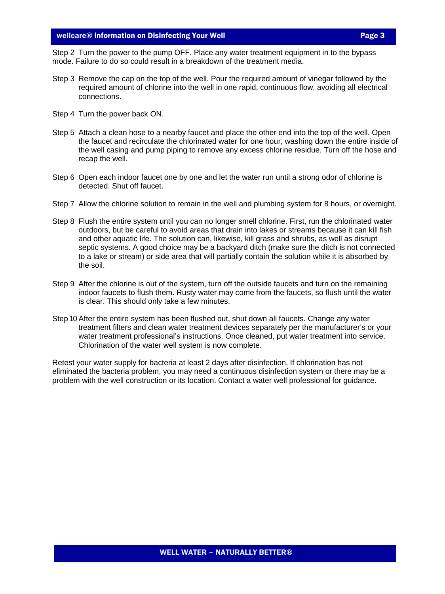#### wellcare® information on Disinfecting Your Well **Page 3** and Page 3

Step 2 Turn the power to the pump OFF. Place any water treatment equipment in to the bypass mode. Failure to do so could result in a breakdown of the treatment media.

- Step 3 Remove the cap on the top of the well. Pour the required amount of vinegar followed by the required amount of chlorine into the well in one rapid, continuous flow, avoiding all electrical connections.
- Step 4 Turn the power back ON.
- Step 5 Attach a clean hose to a nearby faucet and place the other end into the top of the well. Open the faucet and recirculate the chlorinated water for one hour, washing down the entire inside of the well casing and pump piping to remove any excess chlorine residue. Turn off the hose and recap the well.
- Step 6 Open each indoor faucet one by one and let the water run until a strong odor of chlorine is detected. Shut off faucet.
- Step 7 Allow the chlorine solution to remain in the well and plumbing system for 8 hours, or overnight.
- Step 8 Flush the entire system until you can no longer smell chlorine. First, run the chlorinated water outdoors, but be careful to avoid areas that drain into lakes or streams because it can kill fish and other aquatic life. The solution can, likewise, kill grass and shrubs, as well as disrupt septic systems. A good choice may be a backyard ditch (make sure the ditch is not connected to a lake or stream) or side area that will partially contain the solution while it is absorbed by the soil.
- Step 9 After the chlorine is out of the system, turn off the outside faucets and turn on the remaining indoor faucets to flush them. Rusty water may come from the faucets, so flush until the water is clear. This should only take a few minutes.
- Step 10 After the entire system has been flushed out, shut down all faucets. Change any water treatment filters and clean water treatment devices separately per the manufacturer's or your water treatment professional's instructions. Once cleaned, put water treatment into service. Chlorination of the water well system is now complete.

Retest your water supply for bacteria at least 2 days after disinfection. If chlorination has not eliminated the bacteria problem, you may need a continuous disinfection system or there may be a problem with the well construction or its location. Contact a water well professional for guidance.